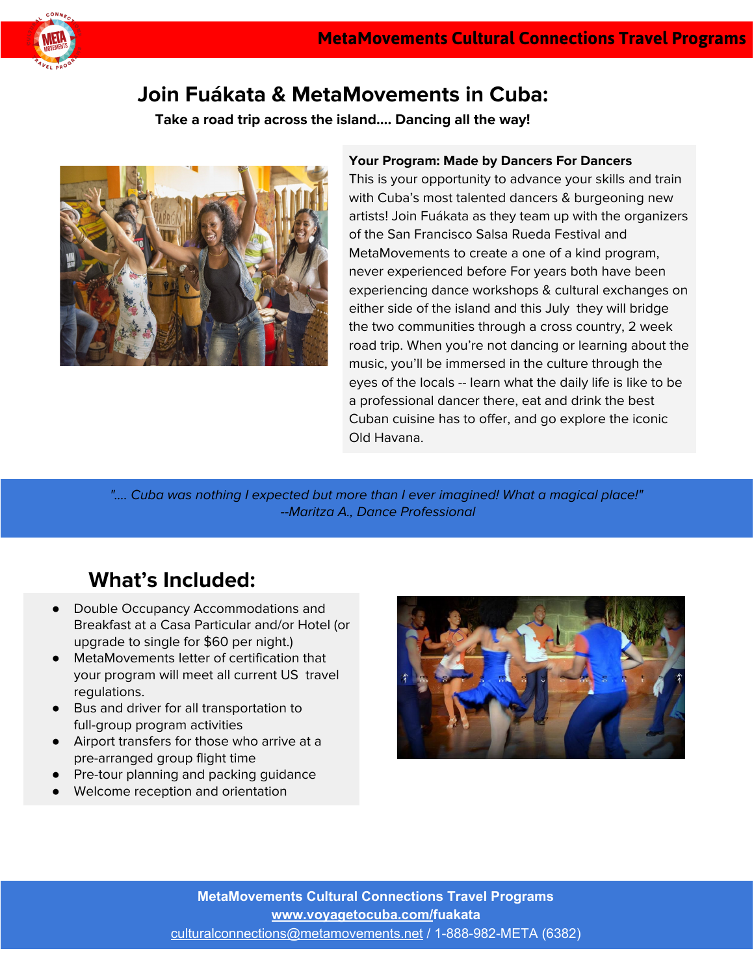

### **Join Fuákata & MetaMovements in Cuba:**

**Take a road trip across the island…. Dancing all the way!**



#### **Your Program: Made by Dancers For Dancers**

This is your opportunity to advance your skills and train with Cuba's most talented dancers & burgeoning new artists! Join Fuákata as they team up with the organizers of the San Francisco Salsa Rueda Festival and MetaMovements to create a one of a kind program, never experienced before For years both have been experiencing dance workshops & cultural exchanges on either side of the island and this July they will bridge the two communities through a cross country, 2 week road trip. When you're not dancing or learning about the music, you'll be immersed in the culture through the eyes of the locals -- learn what the daily life is like to be a professional dancer there, eat and drink the best Cuban cuisine has to offer, and go explore the iconic Old Havana.

".... Cuba was nothing I expected but more than I ever imagined! What a magical place!" --Maritza A., Dance Professional

## **What's Included:**

- Double Occupancy Accommodations and Breakfast at a Casa Particular and/or Hotel (or upgrade to single for \$60 per night.)
- MetaMovements letter of certification that your program will meet all current US travel regulations.
- Bus and driver for all transportation to full-group program activities
- Airport transfers for those who arrive at a pre-arranged group flight time
- Pre-tour planning and packing guidance
- Welcome reception and orientation

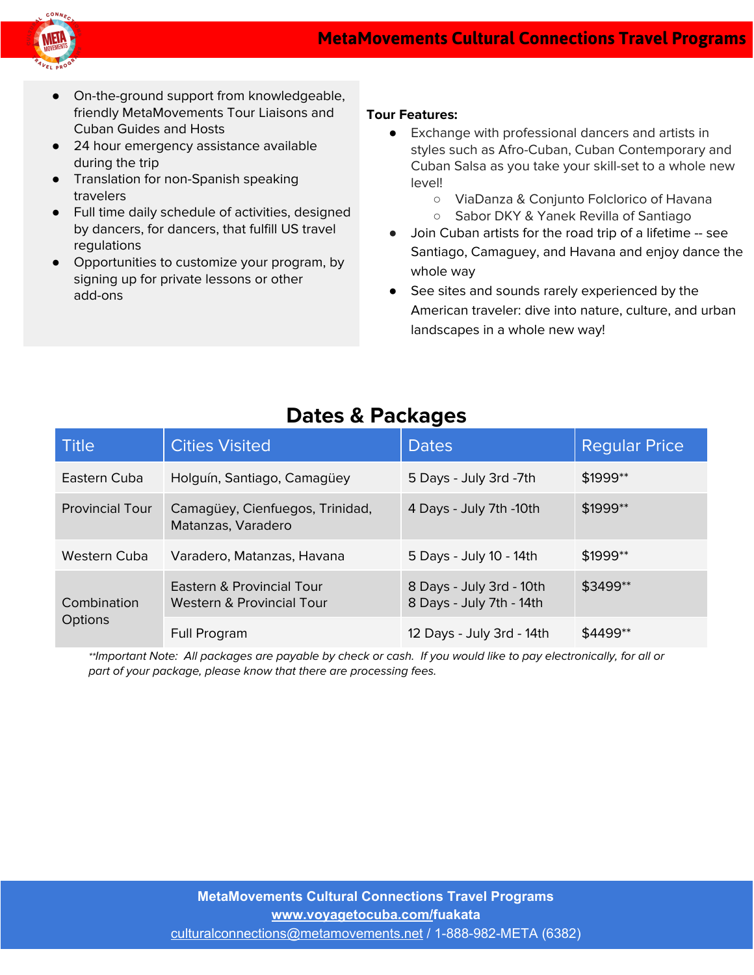

- On-the-ground support from knowledgeable, friendly MetaMovements Tour Liaisons and Cuban Guides and Hosts
- 24 hour emergency assistance available during the trip
- Translation for non-Spanish speaking travelers
- Full time daily schedule of activities, designed by dancers, for dancers, that fulfill US travel regulations
- Opportunities to customize your program, by signing up for private lessons or other add-ons

#### **Tour Features:**

- Exchange with professional dancers and artists in styles such as Afro-Cuban, Cuban Contemporary and Cuban Salsa as you take your skill-set to a whole new level!
	- ViaDanza & Conjunto Folclorico of Havana
	- Sabor DKY & Yanek Revilla of Santiago
- Join Cuban artists for the road trip of a lifetime -- see Santiago, Camaguey, and Havana and enjoy dance the whole way
- See sites and sounds rarely experienced by the American traveler: dive into nature, culture, and urban landscapes in a whole new way!

### **Dates & Packages**

| <b>Title</b>                  | <b>Cities Visited</b>                                  | <b>Dates</b>                                         | <b>Regular Price</b> |
|-------------------------------|--------------------------------------------------------|------------------------------------------------------|----------------------|
| Eastern Cuba                  | Holguín, Santiago, Camagüey                            | 5 Days - July 3rd -7th                               | \$1999**             |
| <b>Provincial Tour</b>        | Camagüey, Cienfuegos, Trinidad,<br>Matanzas, Varadero  | 4 Days - July 7th -10th                              | \$1999**             |
| Western Cuba                  | Varadero, Matanzas, Havana                             | 5 Days - July 10 - 14th                              | \$1999**             |
| Combination<br><b>Options</b> | Eastern & Provincial Tour<br>Western & Provincial Tour | 8 Days - July 3rd - 10th<br>8 Days - July 7th - 14th | \$3499**             |
|                               | Full Program                                           | 12 Days - July 3rd - 14th                            | $$4499**$            |

\*\*Important Note: All packages are payable by check or cash. If you would like to pay electronically, for all or part of your package, please know that there are processing fees.